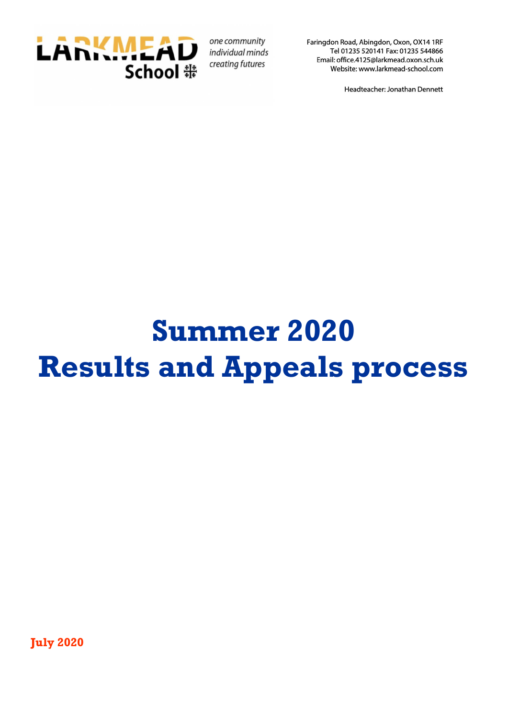

one community individual minds creating futures

Faringdon Road, Abingdon, Oxon, OX14 1RF Tel 01235 520141 Fax: 01235 544866 Email: office.4125@larkmead.oxon.sch.uk Website: www.larkmead-school.com

Headteacher: Jonathan Dennett

# **Summer 2020 Results and Appeals process**

**July 2020**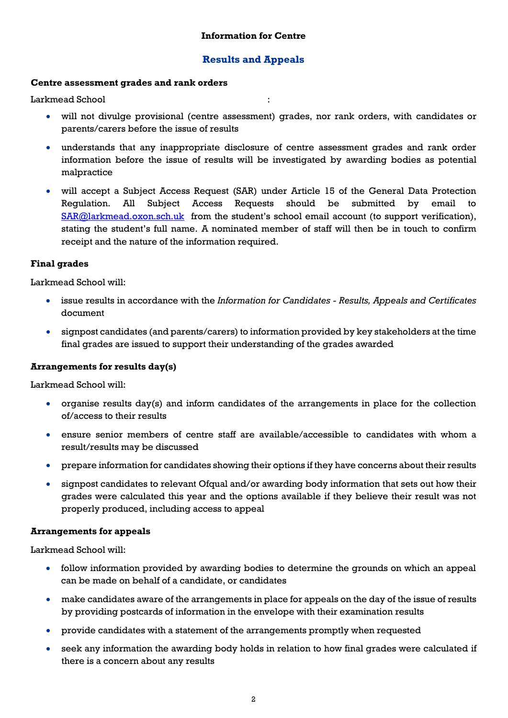# **Results and Appeals**

# **Centre assessment grades and rank orders**

Larkmead School :

- will not divulge provisional (centre assessment) grades, nor rank orders, with candidates or parents/carers before the issue of results
- understands that any inappropriate disclosure of centre assessment grades and rank order information before the issue of results will be investigated by awarding bodies as potential malpractice
- will accept a Subject Access Request (SAR) under Article 15 of the General Data Protection Regulation. All Subject Access Requests should be submitted by email to [SAR@larkmead.oxon.sch.uk](mailto:SAR@larkmead.oxon.sch.uk) from the student's school email account (to support verification), stating the student's full name. A nominated member of staff will then be in touch to confirm receipt and the nature of the information required.

# **Final grades**

Larkmead School will:

- issue results in accordance with the *Information for Candidates - Results, Appeals and Certificates* document
- signpost candidates (and parents/carers) to information provided by key stakeholders at the time final grades are issued to support their understanding of the grades awarded

# **Arrangements for results day(s)**

Larkmead School will:

- organise results day(s) and inform candidates of the arrangements in place for the collection of/access to their results
- ensure senior members of centre staff are available/accessible to candidates with whom a result/results may be discussed
- prepare information for candidates showing their options if they have concerns about their results
- signpost candidates to relevant Ofqual and/or awarding body information that sets out how their grades were calculated this year and the options available if they believe their result was not properly produced, including access to appeal

# **Arrangements for appeals**

Larkmead School will:

- follow information provided by awarding bodies to determine the grounds on which an appeal can be made on behalf of a candidate, or candidates
- make candidates aware of the arrangements in place for appeals on the day of the issue of results by providing postcards of information in the envelope with their examination results
- provide candidates with a statement of the arrangements promptly when requested
- seek any information the awarding body holds in relation to how final grades were calculated if there is a concern about any results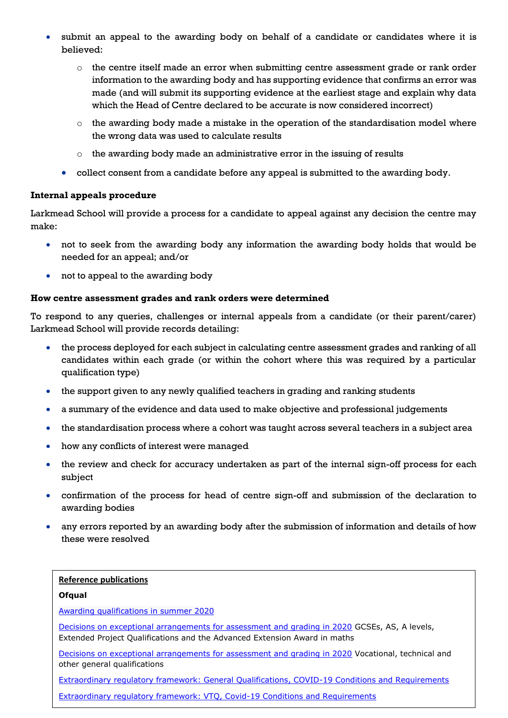- submit an appeal to the awarding body on behalf of a candidate or candidates where it is believed:
	- $\circ$  the centre itself made an error when submitting centre assessment grade or rank order information to the awarding body and has supporting evidence that confirms an error was made (and will submit its supporting evidence at the earliest stage and explain why data which the Head of Centre declared to be accurate is now considered incorrect)
	- $\circ$  the awarding body made a mistake in the operation of the standardisation model where the wrong data was used to calculate results
	- o the awarding body made an administrative error in the issuing of results
	- collect consent from a candidate before any appeal is submitted to the awarding body.

# **Internal appeals procedure**

Larkmead School will provide a process for a candidate to appeal against any decision the centre may make:

- not to seek from the awarding body any information the awarding body holds that would be needed for an appeal; and/or
- not to appeal to the awarding body

# **How centre assessment grades and rank orders were determined**

To respond to any queries, challenges or internal appeals from a candidate (or their parent/carer) Larkmead School will provide records detailing:

- the process deployed for each subject in calculating centre assessment grades and ranking of all candidates within each grade (or within the cohort where this was required by a particular qualification type)
- the support given to any newly qualified teachers in grading and ranking students
- a summary of the evidence and data used to make objective and professional judgements
- the standardisation process where a cohort was taught across several teachers in a subject area
- how any conflicts of interest were managed
- the review and check for accuracy undertaken as part of the internal sign-off process for each subject
- confirmation of the process for head of centre sign-off and submission of the declaration to awarding bodies
- any errors reported by an awarding body after the submission of information and details of how these were resolved

# **Reference publications**

# **Ofqual**

[Awarding qualifications in summer 2020](https://www.gov.uk/government/publications/awarding-qualifications-in-summer-2020)

[Decisions on exceptional arrangements for assessment and grading in 2020](https://www.gov.uk/government/consultations/exceptional-arrangements-for-exam-grading-and-assessment-in-2020) GCSEs, AS, A levels, Extended Project Qualifications and the Advanced Extension Award in maths

[Decisions on exceptional arrangements for assessment and grading in 2020](https://www.gov.uk/government/consultations/exceptional-arrangements-for-assessment-and-grading-in-2020?utm_source=049ee424-bdda-4655-af18-b43aab0c29af&utm_medium=email&utm_campaign=govuk-notifications&utm_content=immediate) Vocational, technical and other general qualifications

[Extraordinary regulatory framework: General Qualifications, COVID-19 Conditions and Requirements](https://www.gov.uk/government/publications/extraordinary-regulatory-framework-general-qualifications-covid-19-conditions-and-requirements)

<u>[Extraordinary regulatory framework: VTQ, Covid-19 Conditions and Requirements](https://www.gov.uk/government/publications/extraordinary-regulatory-framework-vtq-covid-19-conditions-and-requirements)</u>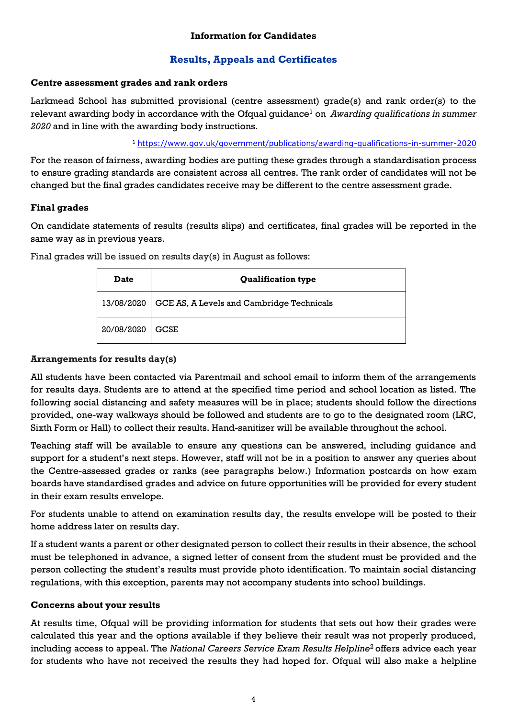# **Information for Candidates**

# **Results, Appeals and Certificates**

# **Centre assessment grades and rank orders**

Larkmead School has submitted provisional (centre assessment) grade(s) and rank order(s) to the relevant awarding body in accordance with the Ofqual quidance<sup>1</sup> on *Awarding qualifications in summer 2020* and in line with the awarding body instructions.

<sup>1</sup><https://www.gov.uk/government/publications/awarding-qualifications-in-summer-2020>

For the reason of fairness, awarding bodies are putting these grades through a standardisation process to ensure grading standards are consistent across all centres. The rank order of candidates will not be changed but the final grades candidates receive may be different to the centre assessment grade.

# **Final grades**

On candidate statements of results (results slips) and certificates, final grades will be reported in the same way as in previous years.

Final grades will be issued on results day(s) in August as follows:

| <b>Date</b> | <b>Qualification type</b>                 |  |
|-------------|-------------------------------------------|--|
| 13/08/2020  | GCE AS, A Levels and Cambridge Technicals |  |
| 20/08/2020  | <b>GCSE</b>                               |  |

# **Arrangements for results day(s)**

All students have been contacted via Parentmail and school email to inform them of the arrangements for results days. Students are to attend at the specified time period and school location as listed. The following social distancing and safety measures will be in place; students should follow the directions provided, one-way walkways should be followed and students are to go to the designated room (LRC, Sixth Form or Hall) to collect their results. Hand-sanitizer will be available throughout the school.

Teaching staff will be available to ensure any questions can be answered, including guidance and support for a student's next steps. However, staff will not be in a position to answer any queries about the Centre-assessed grades or ranks (see paragraphs below.) Information postcards on how exam boards have standardised grades and advice on future opportunities will be provided for every student in their exam results envelope.

For students unable to attend on examination results day, the results envelope will be posted to their home address later on results day.

If a student wants a parent or other designated person to collect their results in their absence, the school must be telephoned in advance, a signed letter of consent from the student must be provided and the person collecting the student's results must provide photo identification. To maintain social distancing regulations, with this exception, parents may not accompany students into school buildings.

# **Concerns about your results**

At results time, Ofqual will be providing information for students that sets out how their grades were calculated this year and the options available if they believe their result was not properly produced, including access to appeal. The *National Careers Service Exam Results Helpline*<sup>2</sup> offers advice each year for students who have not received the results they had hoped for. Ofqual will also make a helpline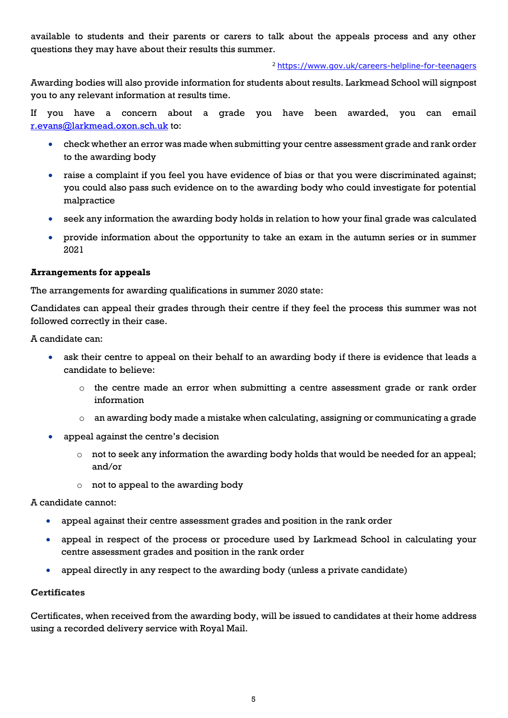available to students and their parents or carers to talk about the appeals process and any other questions they may have about their results this summer.

#### <sup>2</sup> <https://www.gov.uk/careers-helpline-for-teenagers>

Awarding bodies will also provide information for students about results. Larkmead School will signpost you to any relevant information at results time.

If you have a concern about a grade you have been awarded, you can email [r.evans@larkmead.oxon.sch.uk](mailto:r.evans@larkmead.oxon.sch.uk) to:

- check whether an error was made when submitting your centre assessment grade and rank order to the awarding body
- raise a complaint if you feel you have evidence of bias or that you were discriminated against; you could also pass such evidence on to the awarding body who could investigate for potential malpractice
- seek any information the awarding body holds in relation to how your final grade was calculated
- provide information about the opportunity to take an exam in the autumn series or in summer 2021

# **Arrangements for appeals**

The arrangements for awarding qualifications in summer 2020 state:

Candidates can appeal their grades through their centre if they feel the process this summer was not followed correctly in their case.

A candidate can:

- ask their centre to appeal on their behalf to an awarding body if there is evidence that leads a candidate to believe:
	- $\circ$  the centre made an error when submitting a centre assessment grade or rank order information
	- $\circ$  an awarding body made a mistake when calculating, assigning or communicating a grade
- appeal against the centre's decision
	- o not to seek any information the awarding body holds that would be needed for an appeal; and/or
	- $\circ$  not to appeal to the awarding body

A candidate cannot:

- appeal against their centre assessment grades and position in the rank order
- appeal in respect of the process or procedure used by Larkmead School in calculating your centre assessment grades and position in the rank order
- appeal directly in any respect to the awarding body (unless a private candidate)

# **Certificates**

Certificates, when received from the awarding body, will be issued to candidates at their home address using a recorded delivery service with Royal Mail.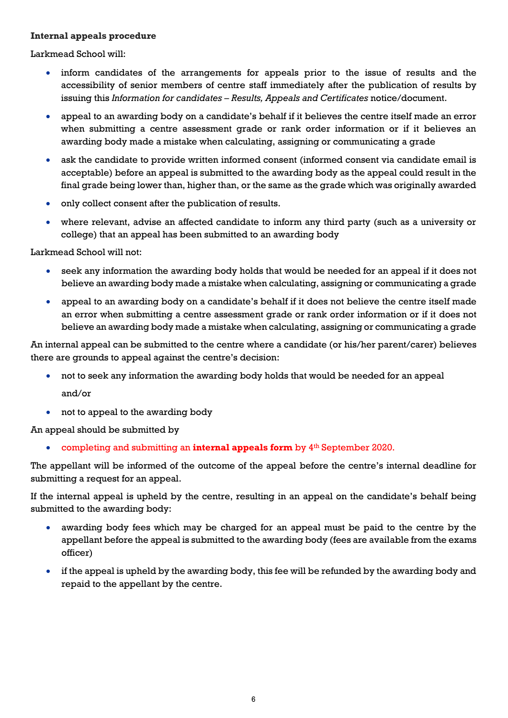# **Internal appeals procedure**

Larkmead School will:

- inform candidates of the arrangements for appeals prior to the issue of results and the accessibility of senior members of centre staff immediately after the publication of results by issuing this *Information for candidates – Results, Appeals and Certificates* notice/document.
- appeal to an awarding body on a candidate's behalf if it believes the centre itself made an error when submitting a centre assessment grade or rank order information or if it believes an awarding body made a mistake when calculating, assigning or communicating a grade
- ask the candidate to provide written informed consent (informed consent via candidate email is acceptable) before an appeal is submitted to the awarding body as the appeal could result in the final grade being lower than, higher than, or the same as the grade which was originally awarded
- only collect consent after the publication of results.
- where relevant, advise an affected candidate to inform any third party (such as a university or college) that an appeal has been submitted to an awarding body

Larkmead School will not:

- seek any information the awarding body holds that would be needed for an appeal if it does not believe an awarding body made a mistake when calculating, assigning or communicating a grade
- appeal to an awarding body on a candidate's behalf if it does not believe the centre itself made an error when submitting a centre assessment grade or rank order information or if it does not believe an awarding body made a mistake when calculating, assigning or communicating a grade

An internal appeal can be submitted to the centre where a candidate (or his/her parent/carer) believes there are grounds to appeal against the centre's decision:

- not to seek any information the awarding body holds that would be needed for an appeal and/or
- not to appeal to the awarding body

An appeal should be submitted by

**•** completing and submitting an **internal appeals form** by 4<sup>th</sup> September 2020.

The appellant will be informed of the outcome of the appeal before the centre's internal deadline for submitting a request for an appeal.

If the internal appeal is upheld by the centre, resulting in an appeal on the candidate's behalf being submitted to the awarding body:

- awarding body fees which may be charged for an appeal must be paid to the centre by the appellant before the appeal is submitted to the awarding body (fees are available from the exams officer)
- if the appeal is upheld by the awarding body, this fee will be refunded by the awarding body and repaid to the appellant by the centre.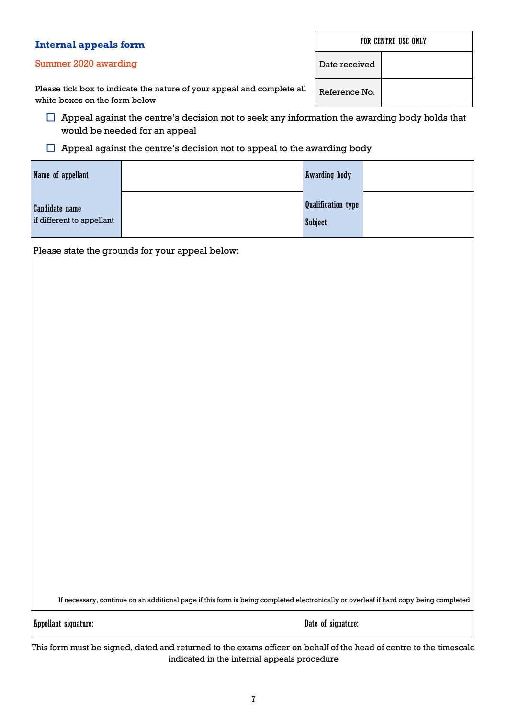| Internal appeals form                                                                                   | FOR CENTRE USE ONLY |  |
|---------------------------------------------------------------------------------------------------------|---------------------|--|
| Summer 2020 awarding                                                                                    | Date received       |  |
| Please tick box to indicate the nature of your appeal and complete all<br>white boxes on the form below | Reference No.       |  |

 $\Box$  Appeal against the centre's decision not to seek any information the awarding body holds that would be needed for an appeal

 $\Box$  Appeal against the centre's decision not to appeal to the awarding body

| Name of appellant                                  |  | <b>Awarding body</b>                        |  |  |  |
|----------------------------------------------------|--|---------------------------------------------|--|--|--|
| <b>Candidate name</b><br>if different to appellant |  | <b>Qualification type</b><br><b>Subject</b> |  |  |  |
| Please state the grounds for your appeal below:    |  |                                             |  |  |  |

If necessary, continue on an additional page if this form is being completed electronically or overleaf if hard copy being completed

Appellant signature: Date of signature:

This form must be signed, dated and returned to the exams officer on behalf of the head of centre to the timescale indicated in the internal appeals procedure